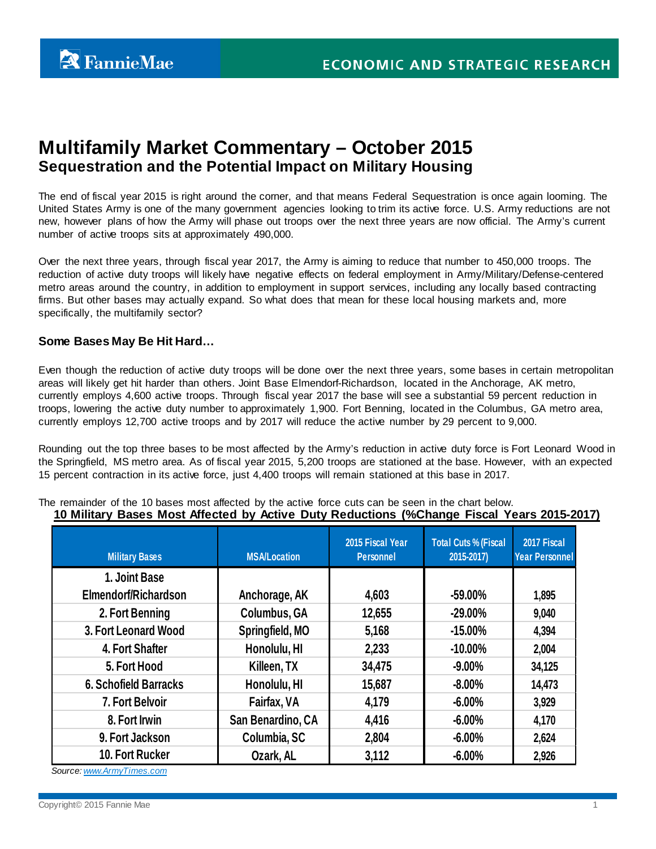# **Multifamily Market Commentary – October 2015 Sequestration and the Potential Impact on Military Housing**

The end of fiscal year 2015 is right around the corner, and that means Federal Sequestration is once again looming. The United States Army is one of the many government agencies looking to trim its active force. U.S. Army reductions are not new, however plans of how the Army will phase out troops over the next three years are now official. The Army's current number of active troops sits at approximately 490,000.

Over the next three years, through fiscal year 2017, the Army is aiming to reduce that number to 450,000 troops. The reduction of active duty troops will likely have negative effects on federal employment in Army/Military/Defense-centered metro areas around the country, in addition to employment in support services, including any locally based contracting firms. But other bases may actually expand. So what does that mean for these local housing markets and, more specifically, the multifamily sector?

## **Some Bases May Be Hit Hard…**

Even though the reduction of active duty troops will be done over the next three years, some bases in certain metropolitan areas will likely get hit harder than others. Joint Base Elmendorf-Richardson, located in the Anchorage, AK metro, currently employs 4,600 active troops. Through fiscal year 2017 the base will see a substantial 59 percent reduction in troops, lowering the active duty number to approximately 1,900. Fort Benning, located in the Columbus, GA metro area, currently employs 12,700 active troops and by 2017 will reduce the active number by 29 percent to 9,000.

Rounding out the top three bases to be most affected by the Army's reduction in active duty force is Fort Leonard Wood in the Springfield, MS metro area. As of fiscal year 2015, 5,200 troops are stationed at the base. However, with an expected 15 percent contraction in its active force, just 4,400 troops will remain stationed at this base in 2017.

| <b>Military Bases</b>        | <b>MSA/Location</b> | 2015 Fiscal Year<br><b>Personnel</b> | <b>Total Cuts % (Fiscal</b><br>2015-2017) | 2017 Fiscal<br><b>Year Personnel</b> |
|------------------------------|---------------------|--------------------------------------|-------------------------------------------|--------------------------------------|
| 1. Joint Base                |                     |                                      |                                           |                                      |
| Elmendorf/Richardson         | Anchorage, AK       | 4,603                                | $-59.00\%$                                | 1,895                                |
| 2. Fort Benning              | <b>Columbus, GA</b> | 12,655                               | $-29.00\%$                                | 9,040                                |
| 3. Fort Leonard Wood         | Springfield, MO     | 5,168                                | $-15.00\%$                                | 4,394                                |
| 4. Fort Shafter              | Honolulu, HI        | 2,233                                | $-10.00\%$                                | 2,004                                |
| 5. Fort Hood                 | Killeen, TX         | 34,475                               | $-9.00%$                                  | 34,125                               |
| <b>6. Schofield Barracks</b> | Honolulu, HI        | 15,687                               | $-8.00%$                                  | 14,473                               |
| 7. Fort Belvoir              | Fairfax, VA         | 4,179                                | $-6.00%$                                  | 3,929                                |
| 8. Fort Irwin                | San Benardino, CA   | 4,416                                | $-6.00%$                                  | 4,170                                |
| 9. Fort Jackson              | Columbia, SC        | 2,804                                | $-6.00%$                                  | 2,624                                |
| 10. Fort Rucker              | Ozark, AL           | 3,112                                | $-6.00%$                                  | 2,926                                |

The remainder of the 10 bases most affected by the active force cuts can be seen in the chart below. **10 Military Bases Most Affected by Active Duty Reductions (%Change Fiscal Years 2015-2017)**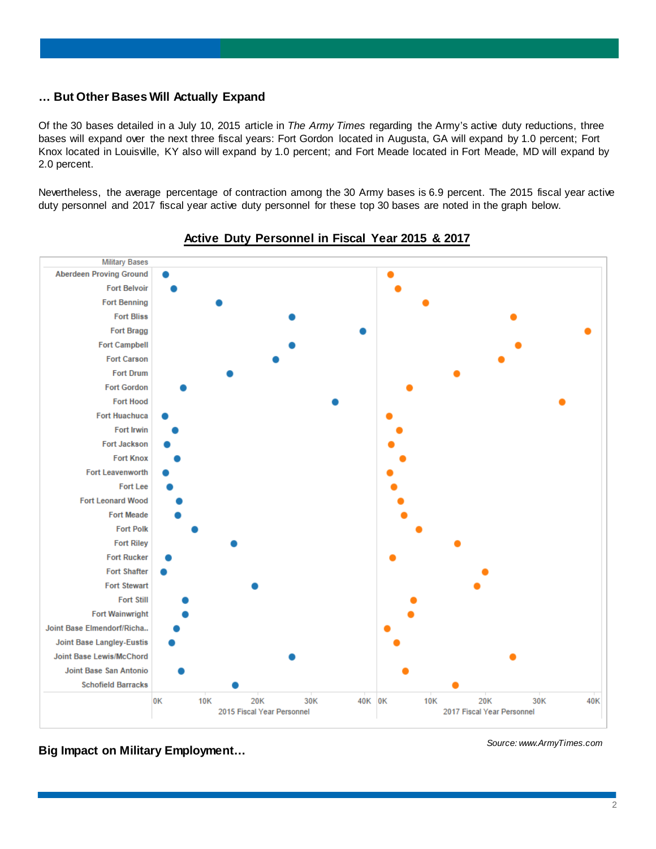# **… But Other Bases Will Actually Expand**

Of the 30 bases detailed in a July 10, 2015 article in *The Army Times* regarding the Army's active duty reductions, three bases will expand over the next three fiscal years: Fort Gordon located in Augusta, GA will expand by 1.0 percent; Fort Knox located in Louisville, KY also will expand by 1.0 percent; and Fort Meade located in Fort Meade, MD will expand by 2.0 percent.

Nevertheless, the average percentage of contraction among the 30 Army bases is 6.9 percent. The 2015 fiscal year active duty personnel and 2017 fiscal year active duty personnel for these top 30 bases are noted in the graph below.



## **Active Duty Personnel in Fiscal Year 2015 & 2017**

**Big Impact on Military Employment…**

*Source: www.ArmyTimes.com*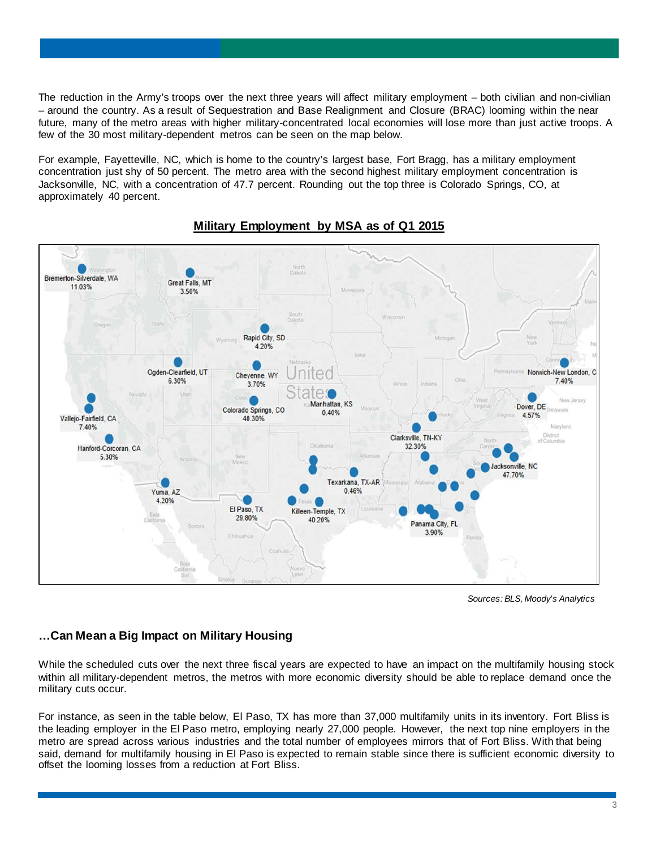The reduction in the Army's troops over the next three years will affect military employment – both civilian and non-civilian – around the country. As a result of Sequestration and Base Realignment and Closure (BRAC) looming within the near future, many of the metro areas with higher military-concentrated local economies will lose more than just active troops. A few of the 30 most military-dependent metros can be seen on the map below.

For example, Fayetteville, NC, which is home to the country's largest base, Fort Bragg, has a military employment concentration just shy of 50 percent. The metro area with the second highest military employment concentration is Jacksonville, NC, with a concentration of 47.7 percent. Rounding out the top three is Colorado Springs, CO, at approximately 40 percent.



# **Military Employment by MSA as of Q1 2015**

*Sources: BLS, Moody's Analytics*

# **…Can Mean a Big Impact on Military Housing**

While the scheduled cuts over the next three fiscal years are expected to have an impact on the multifamily housing stock within all military-dependent metros, the metros with more economic diversity should be able to replace demand once the military cuts occur.

For instance, as seen in the table below, El Paso, TX has more than 37,000 multifamily units in its inventory. Fort Bliss is the leading employer in the El Paso metro, employing nearly 27,000 people. However, the next top nine employers in the metro are spread across various industries and the total number of employees mirrors that of Fort Bliss. With that being said, demand for multifamily housing in El Paso is expected to remain stable since there is sufficient economic diversity to offset the looming losses from a reduction at Fort Bliss.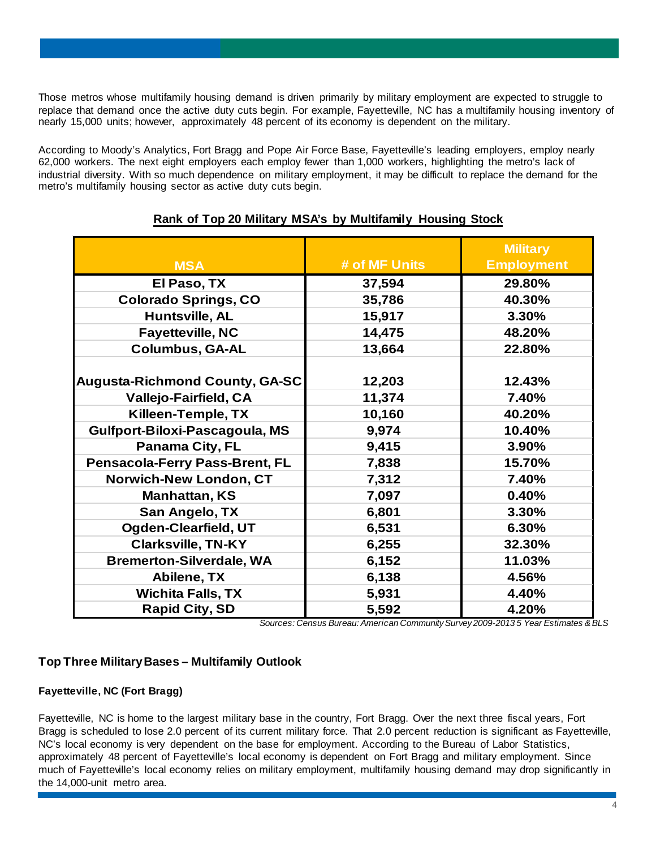Those metros whose multifamily housing demand is driven primarily by military employment are expected to struggle to replace that demand once the active duty cuts begin. For example, Fayetteville, NC has a multifamily housing inventory of nearly 15,000 units; however, approximately 48 percent of its economy is dependent on the military.

According to Moody's Analytics, Fort Bragg and Pope Air Force Base, Fayetteville's leading employers, employ nearly 62,000 workers. The next eight employers each employ fewer than 1,000 workers, highlighting the metro's lack of industrial diversity. With so much dependence on military employment, it may be difficult to replace the demand for the metro's multifamily housing sector as active duty cuts begin.

| <b>MSA</b>                            | # of MF Units | <b>Military</b><br><b>Employment</b> |
|---------------------------------------|---------------|--------------------------------------|
| El Paso, TX                           | 37,594        | 29.80%                               |
| <b>Colorado Springs, CO</b>           | 35,786        | 40.30%                               |
| Huntsville, AL                        | 15,917        | 3.30%                                |
| <b>Fayetteville, NC</b>               | 14,475        | 48.20%                               |
| <b>Columbus, GA-AL</b>                | 13,664        | 22.80%                               |
| Augusta-Richmond County, GA-SC        | 12,203        | 12.43%                               |
| Vallejo-Fairfield, CA                 | 11,374        | 7.40%                                |
| Killeen-Temple, TX                    | 10,160        | 40.20%                               |
| Gulfport-Biloxi-Pascagoula, MS        | 9,974         | 10.40%                               |
| Panama City, FL                       | 9,415         | 3.90%                                |
| <b>Pensacola-Ferry Pass-Brent, FL</b> | 7,838         | 15.70%                               |
| <b>Norwich-New London, CT</b>         | 7,312         | 7.40%                                |
| <b>Manhattan, KS</b>                  | 7,097         | 0.40%                                |
| San Angelo, TX                        | 6,801         | 3.30%                                |
| Ogden-Clearfield, UT                  | 6,531         | 6.30%                                |
| <b>Clarksville, TN-KY</b>             | 6,255         | 32.30%                               |
| <b>Bremerton-Silverdale, WA</b>       | 6,152         | 11.03%                               |
| Abilene, TX                           | 6,138         | 4.56%                                |
| <b>Wichita Falls, TX</b>              | 5,931         | 4.40%                                |
| <b>Rapid City, SD</b>                 | 5,592         | 4.20%                                |

# **Rank of Top 20 Military MSA's by Multifamily Housing Stock**

*Sources: Census Bureau: American Community Survey 2009-2013 5 Year Estimates &BLS*

# **Top Three Military Bases – Multifamily Outlook**

# **Fayetteville, NC (Fort Bragg)**

Fayetteville, NC is home to the largest military base in the country, Fort Bragg. Over the next three fiscal years, Fort Bragg is scheduled to lose 2.0 percent of its current military force. That 2.0 percent reduction is significant as Fayetteville, NC's local economy is very dependent on the base for employment. According to the Bureau of Labor Statistics, approximately 48 percent of Fayetteville's local economy is dependent on Fort Bragg and military employment. Since much of Fayetteville's local economy relies on military employment, multifamily housing demand may drop significantly in the 14,000-unit metro area.